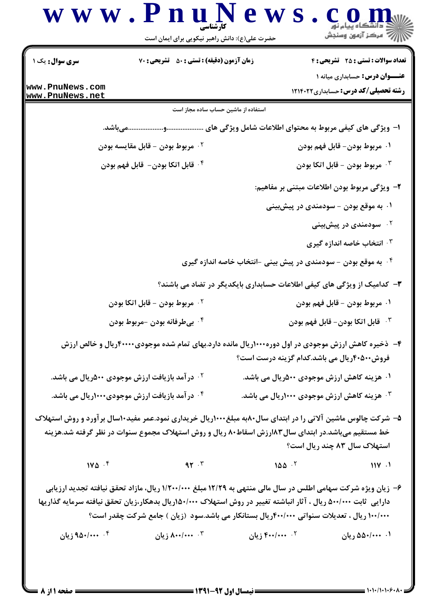| سری سوال: یک ۱                     | زمان آزمون (دقیقه) : تستی : ۵۰٪ تشریحی : ۷۰                                                                                                                                                                                                                                                                                     |                                                                            | <b>تعداد سوالات : تستی : 25 ۔ تشریحی : 4</b>                                         |
|------------------------------------|---------------------------------------------------------------------------------------------------------------------------------------------------------------------------------------------------------------------------------------------------------------------------------------------------------------------------------|----------------------------------------------------------------------------|--------------------------------------------------------------------------------------|
| www.PnuNews.com<br>www.PnuNews.net |                                                                                                                                                                                                                                                                                                                                 |                                                                            | <b>عنـــوان درس:</b> حسابداری میانه ۱<br><b>رشته تحصیلی/کد درس:</b> حسابداری ۱۲۱۴۰۲۲ |
|                                    | استفاده از ماشین حساب ساده مجاز است                                                                                                                                                                                                                                                                                             |                                                                            |                                                                                      |
|                                    |                                                                                                                                                                                                                                                                                                                                 |                                                                            |                                                                                      |
|                                    | <sup>٢ .</sup> مربوط بودن – قابل مقايسه بودن                                                                                                                                                                                                                                                                                    |                                                                            | ۰۱ مربوط بودن- قابل فهم بودن                                                         |
|                                    | ۰۴ قابل اتكا بودن-  قابل فهم بودن                                                                                                                                                                                                                                                                                               |                                                                            | مربوط بودن - قابل اتكا بودن $\cdot$                                                  |
|                                    |                                                                                                                                                                                                                                                                                                                                 |                                                                            | ۲– ویژگی مربوط بودن اطلاعات مبتنی بر مفاهیم:                                         |
|                                    |                                                                                                                                                                                                                                                                                                                                 |                                                                            | ۰۱ به موقع بودن – سودمندی در پیشبینی                                                 |
|                                    |                                                                                                                                                                                                                                                                                                                                 |                                                                            | ۰۲ سودمندی در پیشبینی                                                                |
|                                    |                                                                                                                                                                                                                                                                                                                                 |                                                                            | ۰۳ انتخاب خاصه اندازه گیری                                                           |
|                                    |                                                                                                                                                                                                                                                                                                                                 | ۰ <sup>۴</sup> به موقع بودن - سودمندی در پیش بینی -انتخاب خاصه اندازه گیری |                                                                                      |
|                                    |                                                                                                                                                                                                                                                                                                                                 | ۳- کدامیک از ویژگی های کیفی اطلاعات حسابداری بایکدیگر در تضاد می باشند؟    |                                                                                      |
|                                    | <sup>۲</sup> ۰ مربوط بودن – قابل اتکا بودن                                                                                                                                                                                                                                                                                      |                                                                            | ۰۱ مربوط بودن – قابل فهم بودن                                                        |
|                                    | ۰۴ بيطرفانه بودن -مربوط بودن                                                                                                                                                                                                                                                                                                    |                                                                            | ا قابل اتكا بودن- قابل فهم بودن $\cdot$                                              |
|                                    | ۴- ذخیره کاهش ارزش موجودی در اول دوره۱۰۰۰ریال مانده دارد.بهای تمام شده موجودی۴۰۰۰۰ریال و خالص ارزش                                                                                                                                                                                                                              | فروش۲۰۵۰۰ریال می باشد.کدام گزینه درست است؟                                 |                                                                                      |
|                                    | <sup>۲ .</sup> در آمد بازیافت ارزش موجودی ۵۰۰دریال می باشد.                                                                                                                                                                                                                                                                     | ۰۱ هزینه کاهش ارزش موجودی ۵۰۰(ریال می باشد.                                |                                                                                      |
|                                    | ۰۴ در آمد بازیافت ارزش موجودی۱۰۰۰ریال می باشد.                                                                                                                                                                                                                                                                                  | ۰ <sup>۳</sup> هزینه کاهش ارزش موجودی ۱۰۰۰ریال می باشد.                    |                                                                                      |
|                                    | ۵– شرکت چالوس ماشین آلاتی را در ابتدای سال۱۸۰۰ مبلغ۱۰۰۰ریال خریداری نمود.عمر مفید۱۰سال برآورد و روش استهلاک<br>خط مستقیم میباشد.در ابتدای سال۱۸۳رزش اسقاط۸۰ ریال و روش استهلاک مجموع سنوات در نظر گرفته شد.هزینه                                                                                                                |                                                                            | استهلاک سال ۸۳ چند ریال است؟                                                         |
|                                    | $1 \times 2 \times 5$ are $1 \times 5$ and $1 \times 5$ are $1 \times 5$ and $1 \times 5$ are $1 \times 5$ and $1 \times 5$ are $1 \times 5$ and $1 \times 5$ are $1 \times 5$ and $1 \times 5$ are $1 \times 5$ and $1 \times 5$ are $1 \times 5$ and $1 \times 5$ are $1 \times 5$ and $1 \times 5$ are $1 \times 5$ and      |                                                                            |                                                                                      |
|                                    | ۶– زیان ویژه شرکت سهامی اطلس در سال مالی منتهی به ۱۲/۲۹ مبلغ ۱/۲۰۰/۰۰۰ ریال، مازاد تحقق نیافته تجدید ارزیابی<br>دارایی ً ثابت ۵۰۰/۰۰۰ ریال ، آثار انباشته تغییر در روش استهلاک ۱۵۰/۰۰۰ریال بدهکار،زیان تحقق نیافته سرمایه گذاریها<br>۱۰۰/۰۰۰ ریال ، تعدیلات سنواتی ۴۰۰/۰۰۰ریال بستانکار می باشد.سود (زیان ) جامع شرکت چقدر است؟ |                                                                            |                                                                                      |
|                                    | ۰۲ ۴۰۰/۰۰۰ زیان ۲۰۰۵/۰۰۰ زیان مسلم ۲۰۰۳/۰۰۰ را به این ۲۵۰/۰۰۰ ( یان                                                                                                                                                                                                                                                             |                                                                            | ۰۱ ۵۵۰/۰۰۰ ریان                                                                      |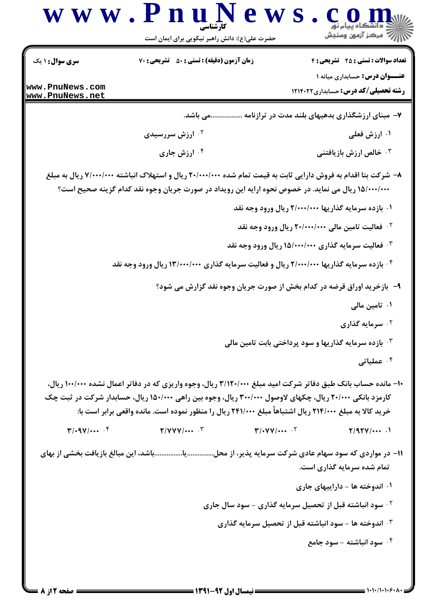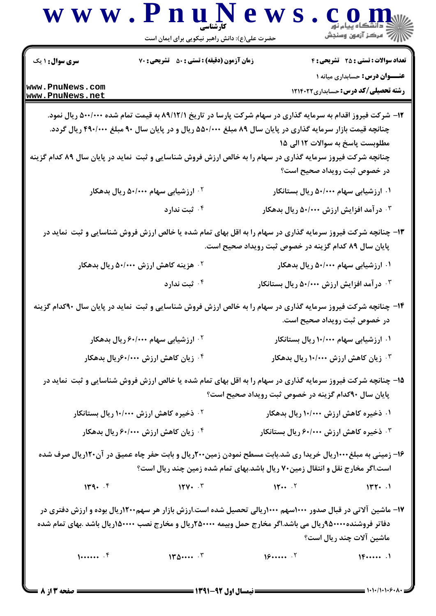| <b>سری سوال : ۱ یک</b>             | زمان آزمون (دقیقه) : تستی : 50 ٪ تشریحی : 70                                                                                                                                                                                                                                                                                                                                              |                                                       | <b>تعداد سوالات : تستی : 25 - تشریحی : 4</b>                                         |
|------------------------------------|-------------------------------------------------------------------------------------------------------------------------------------------------------------------------------------------------------------------------------------------------------------------------------------------------------------------------------------------------------------------------------------------|-------------------------------------------------------|--------------------------------------------------------------------------------------|
| www.PnuNews.com<br>www.PnuNews.net |                                                                                                                                                                                                                                                                                                                                                                                           |                                                       | <b>عنـــوان درس:</b> حسابداری میانه ۱<br><b>رشته تحصیلی/کد درس:</b> حسابداری ۱۲۱۴۰۲۲ |
|                                    | ۱۲– شرکت فیروز اقدام به سرمایه گذاری در سهام شرکت پارسا در تاریخ ۸۹/۱۲/۱ به قیمت تمام شده ۵۰۰/۰۰۰ ریال نمود.<br>چنانچه قیمت بازار سرمایه گذاری در پایان سال ۸۹ مبلغ ۵۵۰/۰۰۰ ریال و در پایان سال ۹۰ مبلغ ۴۹۰/۰۰۰ ریال گردد.<br>چنانچه شرکت فیروز سرمایه گذاری در سهام را به خالص ارزش فروش شناسایی و ثبت ًنماید در پایان سال ۸۹ کدام گزینه                                                 |                                                       | مطلوبست پاسخ به سوالات ١٢ الى ١٥                                                     |
|                                    |                                                                                                                                                                                                                                                                                                                                                                                           |                                                       | در خصوص ثبت رویداد صحیح است؟                                                         |
|                                    | ۰ <sup>۲</sup> ارزشیابی سهام ۵۰/۰۰۰ ریال بدهکار                                                                                                                                                                                                                                                                                                                                           |                                                       | ۰۱ ارزشیابی سهام ۵۰/۰۰۰ ریال بستانکار                                                |
|                                    | ۰۴ ثبت ندارد                                                                                                                                                                                                                                                                                                                                                                              | ۰ <sup>۳</sup> در آمد افزایش ارزش ۵۰/۰۰۰ ریال بدهکار  |                                                                                      |
|                                    | ۱۳- چنانچه شرکت فیروز سرمایه گذاری در سهام را به اقل بهای تمام شده یا خالص ارزش فروش شناسایی و ثبت ًنماید در                                                                                                                                                                                                                                                                              | پایان سال ۸۹ کدام گزینه در خصوص ثبت رویداد صحیح است.  |                                                                                      |
|                                    | <sup>۲.</sup> هزینه کاهش ارزش ۵۰/۰۰۰ ریال بدهکار                                                                                                                                                                                                                                                                                                                                          |                                                       | ۰۱ ارزشیابی سهام ۵۰/۰۰۰ ریال بدهکار                                                  |
|                                    | ۰ <sup>۴ .</sup> ثبت ندارد                                                                                                                                                                                                                                                                                                                                                                | ۰۳ در آمد افزایش ارزش ۵۰/۰۰۰ ریال بستانکار            |                                                                                      |
|                                    | ۱۴- چنانچه شرکت فیروز سرمایه گذاری در سهام را به خالص ارزش فروش شناسایی و ثبت نماید در پایان سال ۹۰کدام گزینه                                                                                                                                                                                                                                                                             |                                                       | در خصوص ثبت رویداد صحیح است.                                                         |
|                                    | <sup>۰۲</sup> ارزشیابی سهام ۶۰/۰۰۰ ریال بدهکار                                                                                                                                                                                                                                                                                                                                            |                                                       | ۰۱ ارزشیابی سهام ۱۰/۰۰۰ ریال بستانکار                                                |
|                                    | ۰ <sup>۴</sup> زیان کاهش ارزش ۶۰/۰۰۰ویال بدهکار                                                                                                                                                                                                                                                                                                                                           |                                                       | زیان کاهش ارزش ۱۰/۰۰۰ ریال بدهکار $\cdot$                                            |
|                                    | ۱۵- چنانچه شرکت فیروز سرمایه گذاری در سهام را به اقل بهای تمام شده یا خالص ارزش فروش شناسایی و ثبت ًنماید در                                                                                                                                                                                                                                                                              | پایان سال ۹۰کدام گزینه در خصوص ثبت رویداد صحیح است؟   |                                                                                      |
|                                    | <sup>۲.</sup> ذخیره کاهش ارزش ۱۰/۰۰۰ ریال بستانکار                                                                                                                                                                                                                                                                                                                                        | ۰۱ ذخیره کاهش ارزش ۱۰/۰۰۰ ریال بدهکار                 |                                                                                      |
|                                    | ۰ <sup>۴</sup> زیان کاهش ارزش ۶۰/۰۰۰ ریال بدهکار                                                                                                                                                                                                                                                                                                                                          | ۰ <sup>۳ .</sup> ذخیره کاهش ارزش ۶۰/۰۰۰ ریال بستانکار |                                                                                      |
|                                    | ۱۶- زمینی به مبلغ۱۰۰۰ریال خریدا ری شد.بابت مسطح نمودن زمین۲۰۰ریال و بابت حفر چاه عمیق در آن۱۲۰ریال صرف شده<br>است.اگر مخارج نقل و انتقال زمین۷۰ ریال باشد.بهای تمام شده زمین چند ریال است؟                                                                                                                                                                                                |                                                       |                                                                                      |
| 149.7                              | $15.4 \times 15.4 \times 15.4 \times 15.4 \times 15.4 \times 15.4 \times 15.4 \times 15.4 \times 15.4 \times 15.4 \times 15.4 \times 15.4 \times 15.4 \times 15.4 \times 15.4 \times 15.4 \times 15.4 \times 15.4 \times 15.4 \times 15.4 \times 15.4 \times 15.4 \times 15.4 \times 15.4 \times 15.4 \times 15.4 \times 15.4 \times 15.4 \times 15.4 \times 15.4 \times 15.4 \times 15.$ |                                                       |                                                                                      |
|                                    | ۱۷– ماشین آلاتی در قبال صدور ۱۰۰۰سهم ۱۰۰۰ریالی تحصیل شده است.ارزش بازار هر سهم۱۲۰۰ریال بوده و ارزش دفتری در<br>دفاتر فروشنده۱۰۰۰۰\$ریال می باشد.اگر مخارج حمل وبیمه ۲۵۰۰۰۰ریال و مخارج نصب ۱۵۰۰۰۰ریال باشد .بهای تمام شده                                                                                                                                                                 |                                                       | ماشین آلات چند ریال است؟                                                             |
|                                    |                                                                                                                                                                                                                                                                                                                                                                                           |                                                       |                                                                                      |

-- نیمسال اول ۹۲-**۱۳۹۱** --

 $= 1.1.11.1.5.1$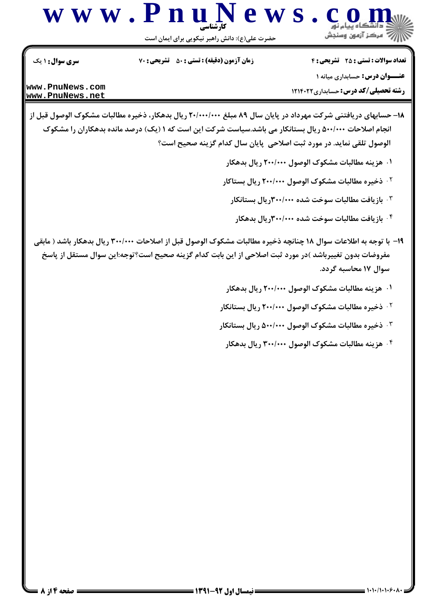

حضرت علی(ع): دانش راهبر نیکویی برای ایمان است

تعداد سوالات : تستى : 25 - تشريحي : 4 **سری سوال : ۱ یک** زمان آزمون (دقیقه) : تستی : ۵۰٪ تشریحی : ۷۰ **عنــوان درس: حسابداری میانه ۱** 

**رشته تحصیلی/کد درس:** حسابداری ۱۲۱۴۰۲۲

www.PnuNews.com www.PnuNews.net

- ۱۸- حسابهای دریافتنی شرکت مهرداد در پایان سال ۸۹ مبلغ ۲۰/۰۰۰/۰۰۰ ریال بدهکار، ذخیره مطالبات مشکوک الوصول قبل از انجام اصلاحات ۵۰۰/۰۰۰ ریال بستانکار می باشد.سیاست شرکت این است که ۱ (یک) درصد مانده بدهکاران را مشکوک الوصول تلقى نمايد. در مورد ثبت اصلاحي پايان سال كدام گزينه صحيح است؟
	- ۰۱ هزینه مطالبات مشکوک الوصول ۲۰۰/۰۰۰ ریال بدهکار
	- <sup>۲.</sup> ذخیره مطالبات مشکوک الوصول ۲۰۰/۰۰۰ ریال بستاکار
		- ۰۳ بازیافت مطالبات سوخت شده ۳۰۰/۰۰۰ ریال بستانکار
		- ۰۴ بازیافت مطالبات سوخت شده ۳۰۰/۰۰۰ ریال بدهکار
	- ۱۹– با توجه به اطلاعات سوال ۱۸ چنانچه ذخیره مطالبات مشکوک الوصول قبل از اصلاحات ۳۰۰/۰۰۰ ریال بدهکار باشد ( مابقي مفروضات بدون تغییرباشد )در مورد ثبت اصلاحی از این بابت کدام گزینه صحیح است؟توجه:این سوال مستقل از پاسخ سوال ۱۷ محاسبه گردد.
		- ۰۱ هزینه مطالبات مشکوک الوصول ۲۰۰/۰۰۰ ریال بدهکار
		- <sup>۲ .</sup> ذخیره مطالبات مشکوک الوصول ۲۰۰/۰۰۰ ریال بستانکار
		- ۰<sup>۳ .</sup> ذخیره مطالبات مشکوک الوصول ۵۰۰/۰۰۰ ریال بستانکار
			- ۰۴ هزینه مطالبات مشکوک الوصول ۳۰۰/۰۰۰ ریال بدهکار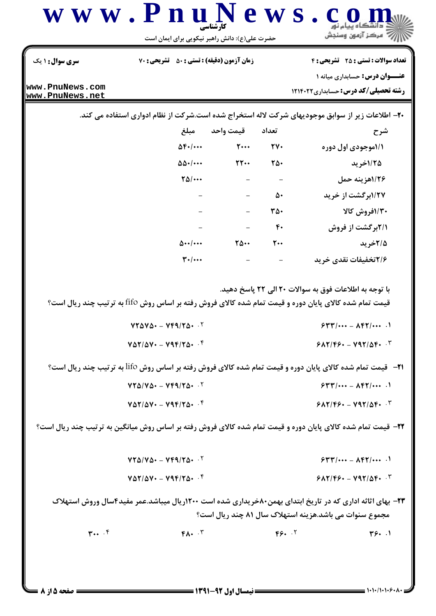| <b>سری سوال :</b> ۱ یک             | زمان آزمون (دقیقه) : تستی : 50 ٪ تشریحی : 70                                       |                                                                                                                       |                | <b>تعداد سوالات : تستی : 25 تشریحی : 4</b>                                                                           |
|------------------------------------|------------------------------------------------------------------------------------|-----------------------------------------------------------------------------------------------------------------------|----------------|----------------------------------------------------------------------------------------------------------------------|
|                                    |                                                                                    |                                                                                                                       |                | <b>عنـــوان درس:</b> حسابداری میانه ۱                                                                                |
| www.PnuNews.com<br>www.PnuNews.net |                                                                                    |                                                                                                                       |                | <b>رشته تحصیلی/کد درس:</b> حسابداری ۱۲۱۴۰۲۲                                                                          |
|                                    |                                                                                    |                                                                                                                       |                | ۲۰- اطلاعات زیر از سوابق موجودیهای شرکت لاله استخراج شده است.شرکت از نظام ادواری استفاده می کند.                     |
|                                    | مبلغ                                                                               | تعداد قيمت واحد                                                                                                       |                | شرح                                                                                                                  |
|                                    | $\Delta F$ ./                                                                      | $\mathsf{Y}\cdots$ $\mathsf{Y}\mathsf{Y}\cdots$                                                                       |                | ۱/۱موجودی اول دوره                                                                                                   |
|                                    | $\Delta\Delta$ . $\cdots$                                                          | $\mathsf{Y} \mathsf{Y} \cdots$                                                                                        | ٢۵٠            | 1/۲۵خرید                                                                                                             |
|                                    | $\Upsilon\Delta/\cdots$                                                            | $\mathcal{L}^{\mathcal{L}}(\mathcal{L}^{\mathcal{L}})$ , where $\mathcal{L}^{\mathcal{L}}(\mathcal{L}^{\mathcal{L}})$ |                | ١/٢۶هزينه حمل                                                                                                        |
|                                    |                                                                                    | $\mathcal{L}^{\mathcal{L}}$ and $\mathcal{L}^{\mathcal{L}}$                                                           | ۵۰             | ۱/۲۷برگشت از خرید                                                                                                    |
|                                    |                                                                                    |                                                                                                                       | ٣۵٠            | ۱/۳۰فروش کالا                                                                                                        |
|                                    |                                                                                    | $  \mathfrak{f}\cdot$                                                                                                 |                | ۲/۱برگشت از فروش                                                                                                     |
|                                    |                                                                                    |                                                                                                                       | $\mathbf{r}$ . | ۲/۵خرید                                                                                                              |
|                                    | $\mathbf{r}$ ./                                                                    |                                                                                                                       |                | ۲/۶تخفیفات نقدی خرید                                                                                                 |
|                                    | $VT\Delta V\Delta t = VfQ/T\Delta t$ .<br>$V\Delta Y/\Delta V$ - $V4F/Y\Delta V$ . |                                                                                                                       |                | $544/100 - \text{AFY}/100$<br>$9AY/F9. - V97/\Delta F.$                                                              |
|                                    |                                                                                    |                                                                                                                       |                | 21− قیمت تمام شده کالای پایان دوره و قیمت تمام شده کالای فروش رفته بر اساس روش Iifo به ترتیب چند ریال است؟           |
|                                    | $VT\Delta/V\Delta-VTq/T\Delta+T$                                                   |                                                                                                                       |                | $544/111 - \text{AFY}/111$                                                                                           |
|                                    | $V\Delta Y/\Delta V = V4F/Y\Delta t$ . $F$                                         |                                                                                                                       |                | $9AY/F9. - V17/A9.$                                                                                                  |
|                                    |                                                                                    |                                                                                                                       |                |                                                                                                                      |
|                                    |                                                                                    |                                                                                                                       |                | <b>3۲-</b> قیمت تمام شده کالای پایان دوره و قیمت تمام شده کالای فروش رفته بر اساس روش میانگین به ترتیب چند ریال است؟ |
|                                    | $VT\Delta/V\Delta - Vf9/T\Delta - T$                                               |                                                                                                                       |                | $544/100 - \text{AFY}/100$                                                                                           |
|                                    | $V\Delta Y/\Delta V$ - $V4F/Y\Delta V$ .                                           |                                                                                                                       |                | $9AY/F9. - V97/\Delta F.$                                                                                            |
|                                    |                                                                                    |                                                                                                                       |                | <b>۲۳</b> - بهای اثاثه اداری که در تاریخ ابتدای بهمن۸۰خریداری شده است ۱۲۰۰ریال میباشد.عمر مفید۴سال وروش استهلاک      |
|                                    |                                                                                    |                                                                                                                       |                | مجموع سنوات می باشد.هزینه استهلاک سال ۸۱ چند ریال است؟                                                               |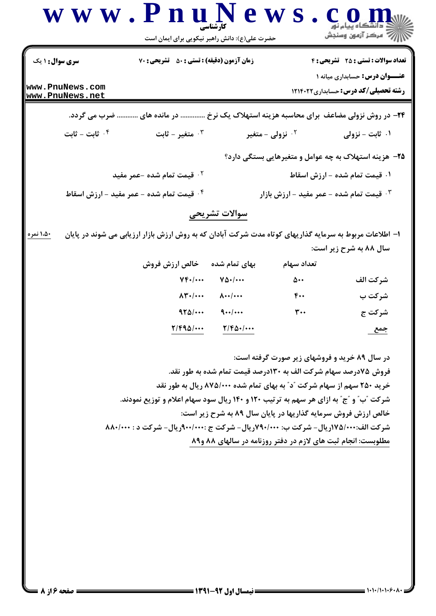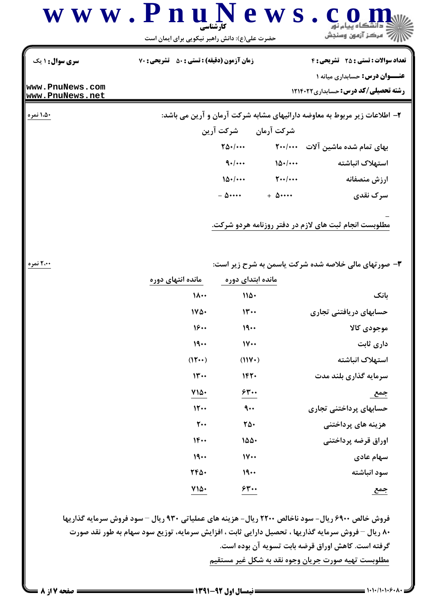

| مانده انتهای دوره           | مانده ابتدای دوره             |                        |
|-----------------------------|-------------------------------|------------------------|
| ۱۸۰۰                        | ۱۱۵۰                          | بانک                   |
| ۱۷۵۰                        | $\mathcal{W}$                 | حسابهای دریافتنی تجاری |
| 18                          | 19                            | موجودى كالا            |
| 19                          | $\mathsf{N}\mathsf{}$         | داری ثابت              |
| $(11 \cdots)$               | (11Y)                         | استهلاک انباشته        |
| 11                          | 1420                          | سرمایه گذاری بلند مدت  |
|                             |                               |                        |
| ۷۱۵۰                        | 630.۰                         | جمع                    |
| 11                          | $\mathbf{a} \cdot \mathbf{b}$ | حسابهای پرداختنی تجاری |
| $\mathsf{r}\cdot\mathsf{r}$ | ۲۵۰                           | هزینه های پرداختنی     |
| $1F \cdots$                 | ۱۵۵۰                          | اوراق قرضه پرداختنی    |
| 19                          | $\mathsf{IV}\cdots$           | سهام عادی              |
| 7450.                       | 19                            | سود انباشته            |

فروش خالص ۶۹۰۰ ریال- سود ناخالص ۲۲۰۰ ریال- هزینه های عملیاتی ۹۳۰ ریال – سود فروش سرمایه گذاریها ۸۰ ریال – فروش سرمایه گذاریها ، تحصیل دارایی ثابت ، افزایش سرمایه، توزیع سود سهام به طور نقد صورت گرفته است. کاهش اوراق قرضه بابت تسویه آن بوده است. مطلوبست تهيه صورت جريان وجوه نقد به شكل غير مستقيم